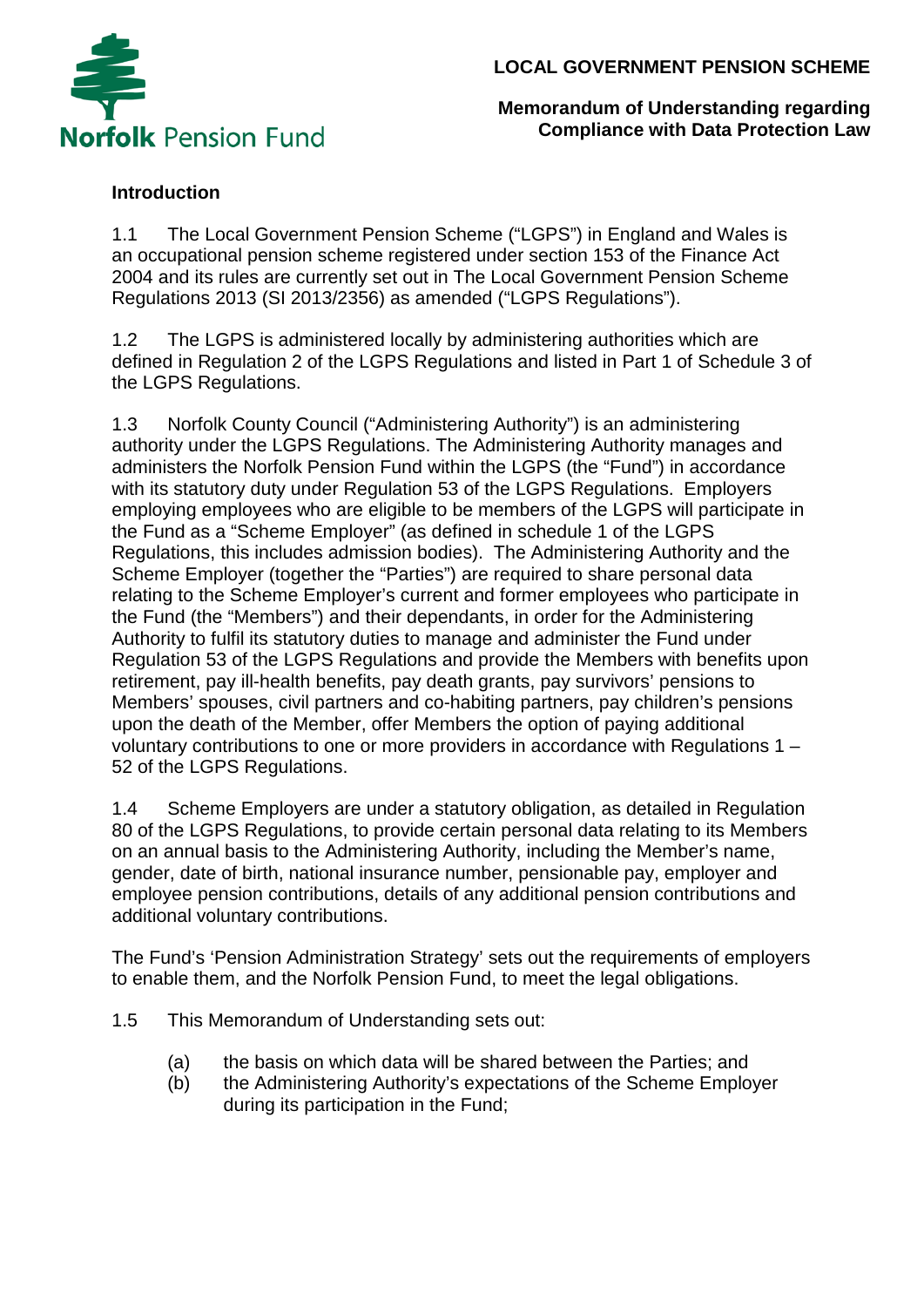

**Memorandum of Understanding regarding Compliance with Data Protection Law**

#### **Introduction**

1.1 The Local Government Pension Scheme ("LGPS") in England and Wales is an occupational pension scheme registered under section 153 of the Finance Act 2004 and its rules are currently set out in The Local Government Pension Scheme Regulations 2013 (SI 2013/2356) as amended ("LGPS Regulations").

1.2 The LGPS is administered locally by administering authorities which are defined in Regulation 2 of the LGPS Regulations and listed in Part 1 of Schedule 3 of the LGPS Regulations.

1.3 Norfolk County Council ("Administering Authority") is an administering authority under the LGPS Regulations. The Administering Authority manages and administers the Norfolk Pension Fund within the LGPS (the "Fund") in accordance with its statutory duty under Regulation 53 of the LGPS Regulations. Employers employing employees who are eligible to be members of the LGPS will participate in the Fund as a "Scheme Employer" (as defined in schedule 1 of the LGPS Regulations, this includes admission bodies). The Administering Authority and the Scheme Employer (together the "Parties") are required to share personal data relating to the Scheme Employer's current and former employees who participate in the Fund (the "Members") and their dependants, in order for the Administering Authority to fulfil its statutory duties to manage and administer the Fund under Regulation 53 of the LGPS Regulations and provide the Members with benefits upon retirement, pay ill-health benefits, pay death grants, pay survivors' pensions to Members' spouses, civil partners and co-habiting partners, pay children's pensions upon the death of the Member, offer Members the option of paying additional voluntary contributions to one or more providers in accordance with Regulations 1 – 52 of the LGPS Regulations.

1.4 Scheme Employers are under a statutory obligation, as detailed in Regulation 80 of the LGPS Regulations, to provide certain personal data relating to its Members on an annual basis to the Administering Authority, including the Member's name, gender, date of birth, national insurance number, pensionable pay, employer and employee pension contributions, details of any additional pension contributions and additional voluntary contributions.

The Fund's 'Pension Administration Strategy' sets out the requirements of employers to enable them, and the Norfolk Pension Fund, to meet the legal obligations.

- 1.5 This Memorandum of Understanding sets out:
	- (a) the basis on which data will be shared between the Parties; and
	- (b) the Administering Authority's expectations of the Scheme Employer during its participation in the Fund;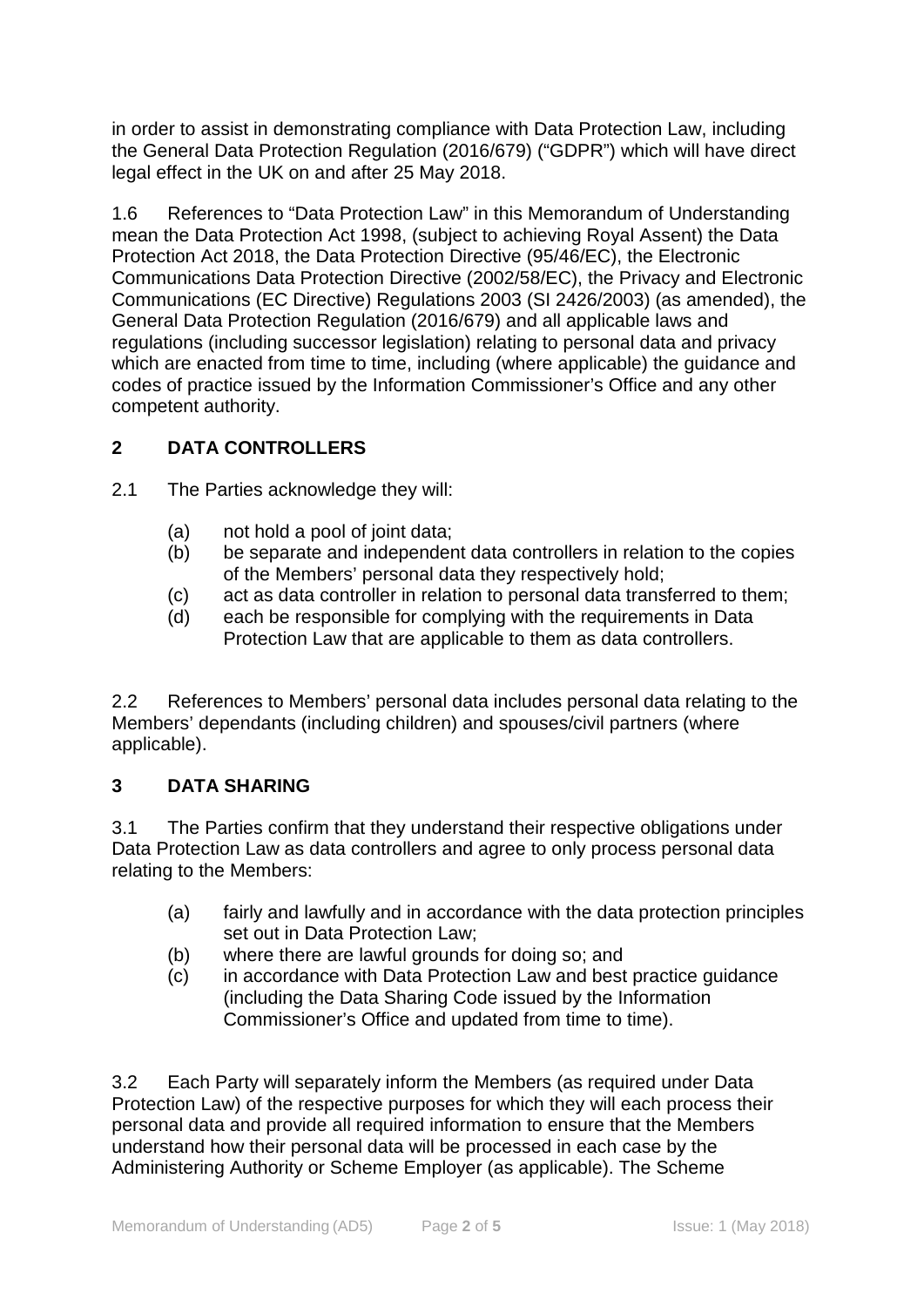in order to assist in demonstrating compliance with Data Protection Law, including the General Data Protection Regulation (2016/679) ("GDPR") which will have direct legal effect in the UK on and after 25 May 2018.

1.6 References to "Data Protection Law" in this Memorandum of Understanding mean the Data Protection Act 1998, (subject to achieving Royal Assent) the Data Protection Act 2018, the Data Protection Directive (95/46/EC), the Electronic Communications Data Protection Directive (2002/58/EC), the Privacy and Electronic Communications (EC Directive) Regulations 2003 (SI 2426/2003) (as amended), the General Data Protection Regulation (2016/679) and all applicable laws and regulations (including successor legislation) relating to personal data and privacy which are enacted from time to time, including (where applicable) the guidance and codes of practice issued by the Information Commissioner's Office and any other competent authority.

## **2 DATA CONTROLLERS**

2.1 The Parties acknowledge they will:

- (a) not hold a pool of joint data;
- (b) be separate and independent data controllers in relation to the copies of the Members' personal data they respectively hold;
- (c) act as data controller in relation to personal data transferred to them;
- (d) each be responsible for complying with the requirements in Data Protection Law that are applicable to them as data controllers.

2.2 References to Members' personal data includes personal data relating to the Members' dependants (including children) and spouses/civil partners (where applicable).

#### **3 DATA SHARING**

3.1 The Parties confirm that they understand their respective obligations under Data Protection Law as data controllers and agree to only process personal data relating to the Members:

- (a) fairly and lawfully and in accordance with the data protection principles set out in Data Protection Law;
- (b) where there are lawful grounds for doing so; and
- (c) in accordance with Data Protection Law and best practice guidance (including the Data Sharing Code issued by the Information Commissioner's Office and updated from time to time).

3.2 Each Party will separately inform the Members (as required under Data Protection Law) of the respective purposes for which they will each process their personal data and provide all required information to ensure that the Members understand how their personal data will be processed in each case by the Administering Authority or Scheme Employer (as applicable). The Scheme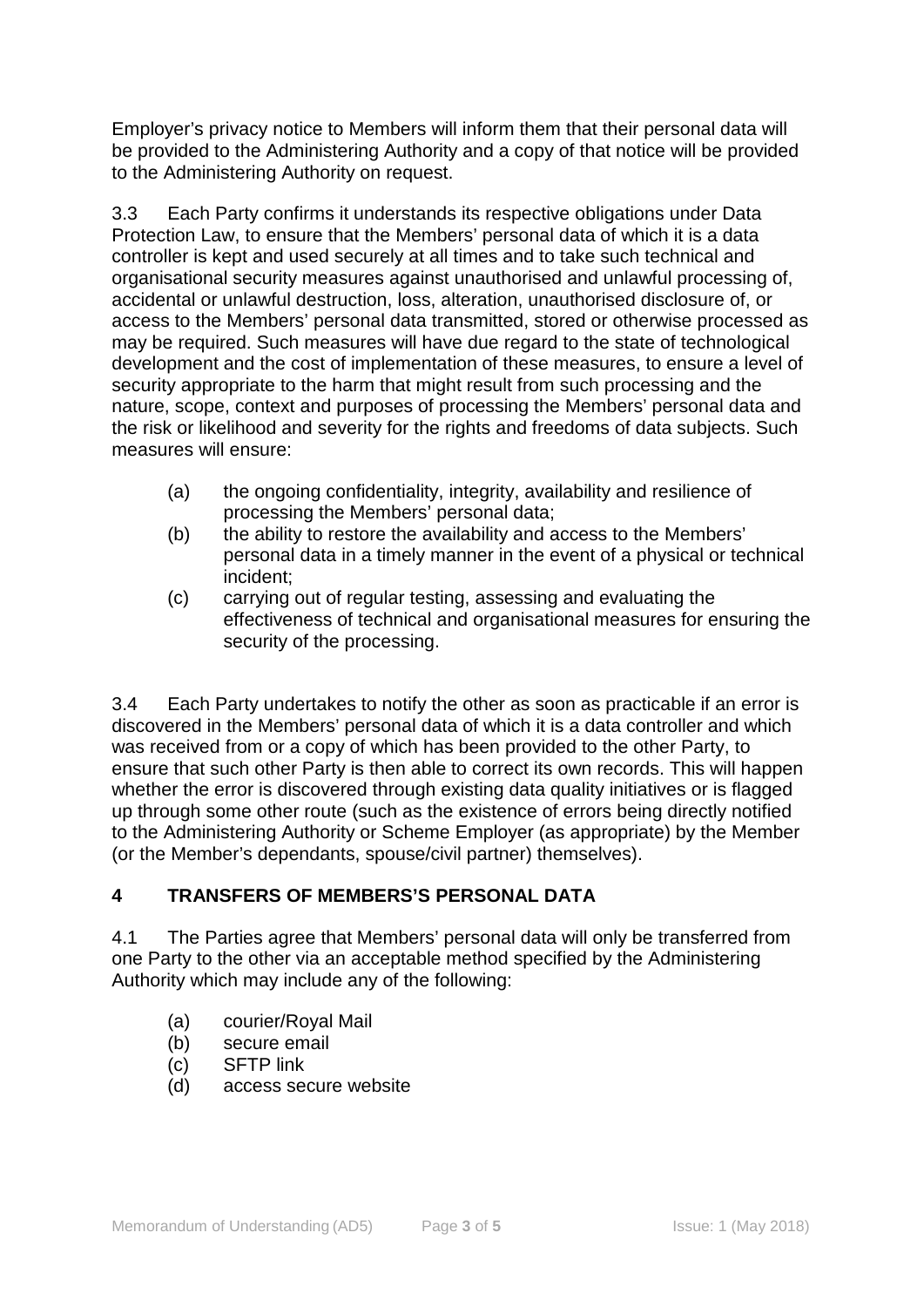Employer's privacy notice to Members will inform them that their personal data will be provided to the Administering Authority and a copy of that notice will be provided to the Administering Authority on request.

3.3 Each Party confirms it understands its respective obligations under Data Protection Law, to ensure that the Members' personal data of which it is a data controller is kept and used securely at all times and to take such technical and organisational security measures against unauthorised and unlawful processing of, accidental or unlawful destruction, loss, alteration, unauthorised disclosure of, or access to the Members' personal data transmitted, stored or otherwise processed as may be required. Such measures will have due regard to the state of technological development and the cost of implementation of these measures, to ensure a level of security appropriate to the harm that might result from such processing and the nature, scope, context and purposes of processing the Members' personal data and the risk or likelihood and severity for the rights and freedoms of data subjects. Such measures will ensure:

- (a) the ongoing confidentiality, integrity, availability and resilience of processing the Members' personal data;
- (b) the ability to restore the availability and access to the Members' personal data in a timely manner in the event of a physical or technical incident;
- (c) carrying out of regular testing, assessing and evaluating the effectiveness of technical and organisational measures for ensuring the security of the processing.

3.4 Each Party undertakes to notify the other as soon as practicable if an error is discovered in the Members' personal data of which it is a data controller and which was received from or a copy of which has been provided to the other Party, to ensure that such other Party is then able to correct its own records. This will happen whether the error is discovered through existing data quality initiatives or is flagged up through some other route (such as the existence of errors being directly notified to the Administering Authority or Scheme Employer (as appropriate) by the Member (or the Member's dependants, spouse/civil partner) themselves).

# **4 TRANSFERS OF MEMBERS'S PERSONAL DATA**

4.1 The Parties agree that Members' personal data will only be transferred from one Party to the other via an acceptable method specified by the Administering Authority which may include any of the following:

- (a) courier/Royal Mail
- (b) secure email
- (c) SFTP link
- (d) access secure website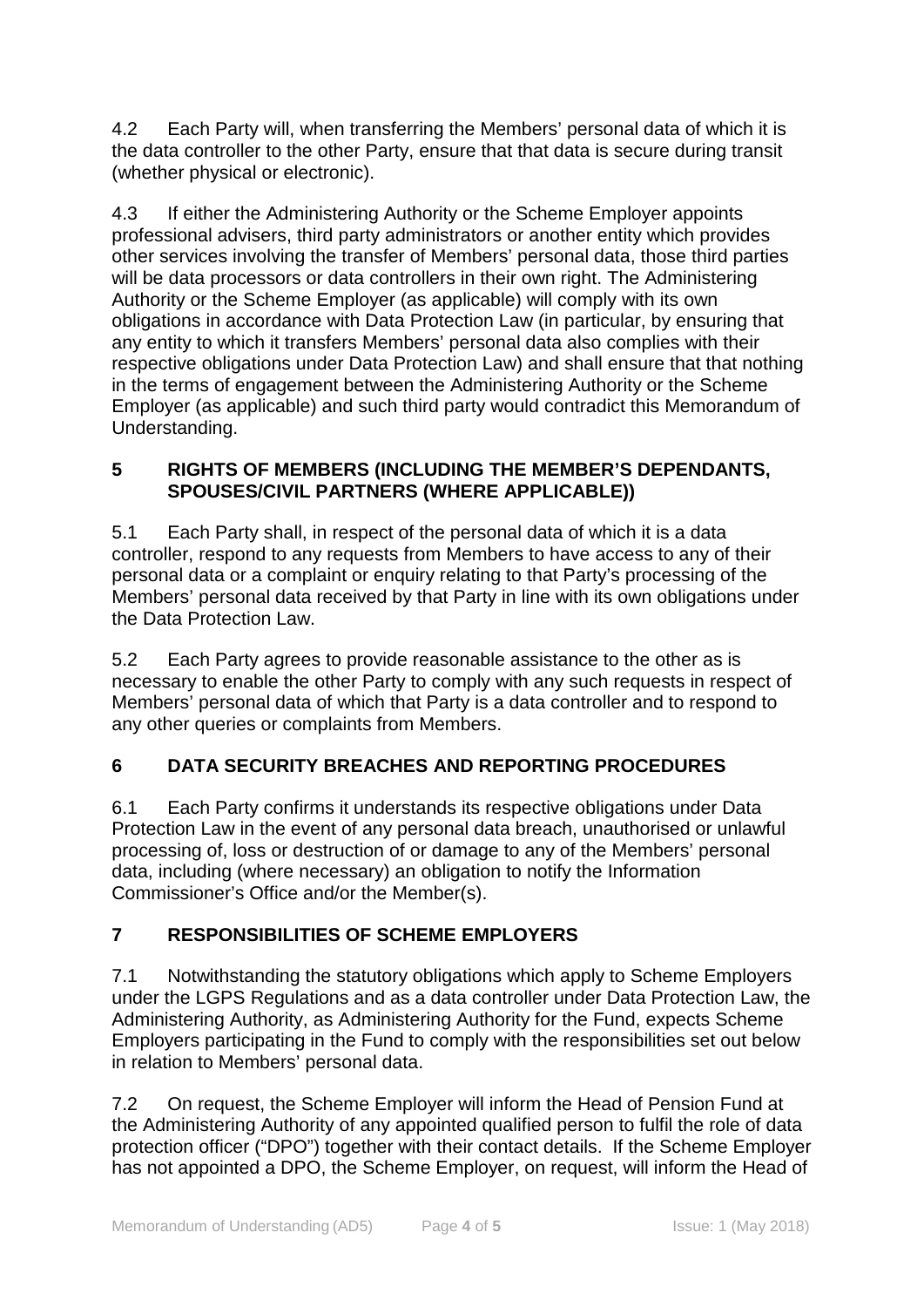4.2 Each Party will, when transferring the Members' personal data of which it is the data controller to the other Party, ensure that that data is secure during transit (whether physical or electronic).

4.3 If either the Administering Authority or the Scheme Employer appoints professional advisers, third party administrators or another entity which provides other services involving the transfer of Members' personal data, those third parties will be data processors or data controllers in their own right. The Administering Authority or the Scheme Employer (as applicable) will comply with its own obligations in accordance with Data Protection Law (in particular, by ensuring that any entity to which it transfers Members' personal data also complies with their respective obligations under Data Protection Law) and shall ensure that that nothing in the terms of engagement between the Administering Authority or the Scheme Employer (as applicable) and such third party would contradict this Memorandum of Understanding.

#### **5 RIGHTS OF MEMBERS (INCLUDING THE MEMBER'S DEPENDANTS, SPOUSES/CIVIL PARTNERS (WHERE APPLICABLE))**

5.1 Each Party shall, in respect of the personal data of which it is a data controller, respond to any requests from Members to have access to any of their personal data or a complaint or enquiry relating to that Party's processing of the Members' personal data received by that Party in line with its own obligations under the Data Protection Law.

5.2 Each Party agrees to provide reasonable assistance to the other as is necessary to enable the other Party to comply with any such requests in respect of Members' personal data of which that Party is a data controller and to respond to any other queries or complaints from Members.

# **6 DATA SECURITY BREACHES AND REPORTING PROCEDURES**

6.1 Each Party confirms it understands its respective obligations under Data Protection Law in the event of any personal data breach, unauthorised or unlawful processing of, loss or destruction of or damage to any of the Members' personal data, including (where necessary) an obligation to notify the Information Commissioner's Office and/or the Member(s).

# **7 RESPONSIBILITIES OF SCHEME EMPLOYERS**

7.1 Notwithstanding the statutory obligations which apply to Scheme Employers under the LGPS Regulations and as a data controller under Data Protection Law, the Administering Authority, as Administering Authority for the Fund, expects Scheme Employers participating in the Fund to comply with the responsibilities set out below in relation to Members' personal data.

7.2 On request, the Scheme Employer will inform the Head of Pension Fund at the Administering Authority of any appointed qualified person to fulfil the role of data protection officer ("DPO") together with their contact details. If the Scheme Employer has not appointed a DPO, the Scheme Employer, on request, will inform the Head of